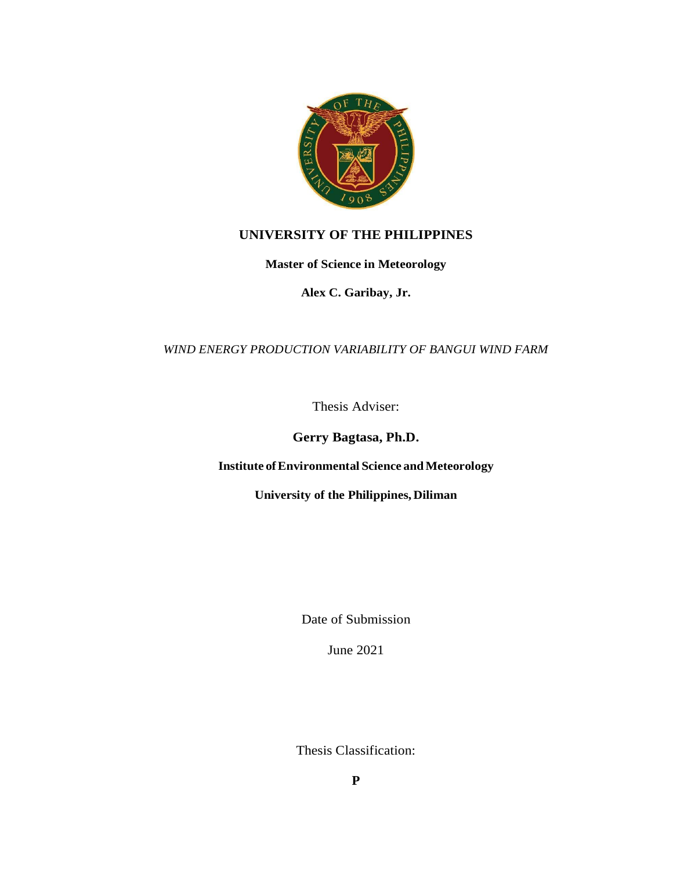

## **UNIVERSITY OF THE PHILIPPINES**

**Master of Science in Meteorology**

**Alex C. Garibay, Jr.**

## *WIND ENERGY PRODUCTION VARIABILITY OF BANGUI WIND FARM*

Thesis Adviser:

**Gerry Bagtasa, Ph.D.**

**Institute ofEnvironmental Science andMeteorology** 

**University of the Philippines, Diliman**

Date of Submission

June 2021

Thesis Classification: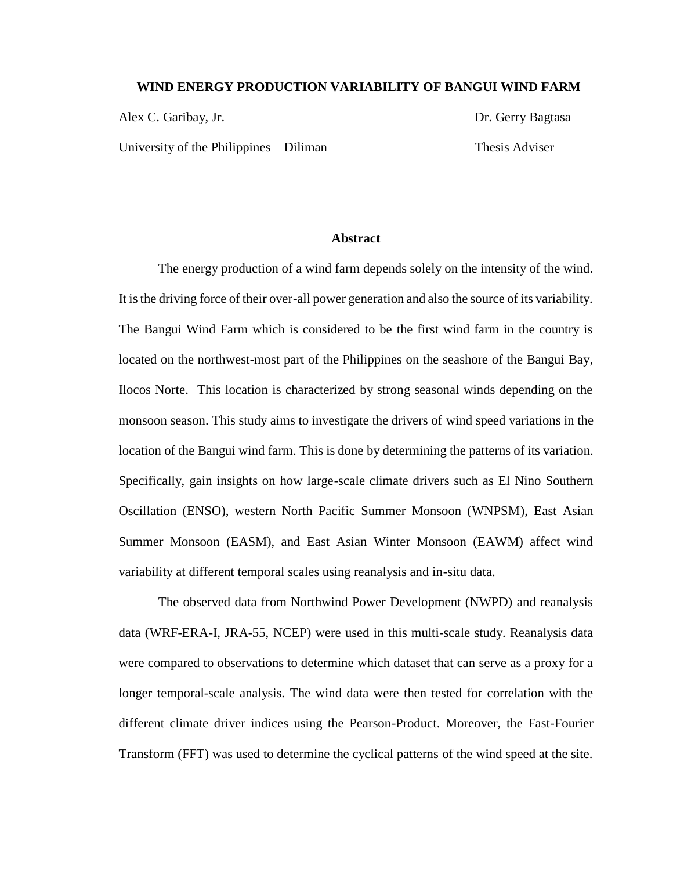## **WIND ENERGY PRODUCTION VARIABILITY OF BANGUI WIND FARM**

Alex C. Garibay, Jr. **Dr. Gerry Bagtasa** 

University of the Philippines – Diliman Thesis Adviser

## **Abstract**

The energy production of a wind farm depends solely on the intensity of the wind. It is the driving force of their over-all power generation and also the source of its variability. The Bangui Wind Farm which is considered to be the first wind farm in the country is located on the northwest-most part of the Philippines on the seashore of the Bangui Bay, Ilocos Norte. This location is characterized by strong seasonal winds depending on the monsoon season. This study aims to investigate the drivers of wind speed variations in the location of the Bangui wind farm. This is done by determining the patterns of its variation. Specifically, gain insights on how large-scale climate drivers such as El Nino Southern Oscillation (ENSO), western North Pacific Summer Monsoon (WNPSM), East Asian Summer Monsoon (EASM), and East Asian Winter Monsoon (EAWM) affect wind variability at different temporal scales using reanalysis and in-situ data.

The observed data from Northwind Power Development (NWPD) and reanalysis data (WRF-ERA-I, JRA-55, NCEP) were used in this multi-scale study. Reanalysis data were compared to observations to determine which dataset that can serve as a proxy for a longer temporal-scale analysis. The wind data were then tested for correlation with the different climate driver indices using the Pearson-Product. Moreover, the Fast-Fourier Transform (FFT) was used to determine the cyclical patterns of the wind speed at the site.